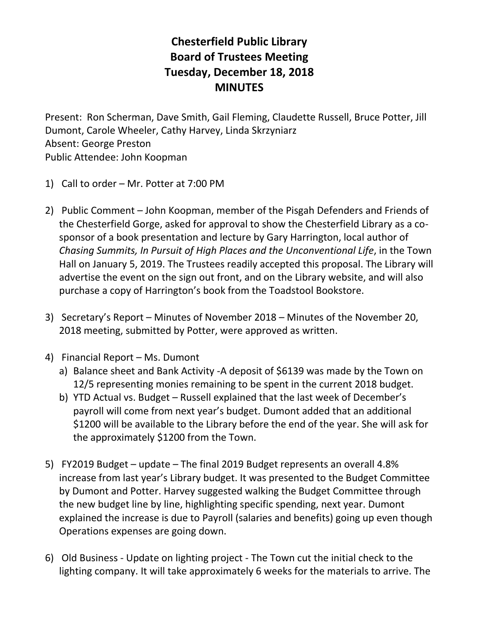## **Chesterfield Public Library Board of Trustees Meeting Tuesday, December 18, 2018 MINUTES**

Present: Ron Scherman, Dave Smith, Gail Fleming, Claudette Russell, Bruce Potter, Jill Dumont, Carole Wheeler, Cathy Harvey, Linda Skrzyniarz Absent: George Preston Public Attendee: John Koopman

- 1) Call to order Mr. Potter at 7:00 PM
- 2) Public Comment John Koopman, member of the Pisgah Defenders and Friends of the Chesterfield Gorge, asked for approval to show the Chesterfield Library as a cosponsor of a book presentation and lecture by Gary Harrington, local author of *Chasing Summits, In Pursuit of High Places and the Unconventional Life*, in the Town Hall on January 5, 2019. The Trustees readily accepted this proposal. The Library will advertise the event on the sign out front, and on the Library website, and will also purchase a copy of Harrington's book from the Toadstool Bookstore.
- 3) Secretary's Report Minutes of November 2018 Minutes of the November 20, 2018 meeting, submitted by Potter, were approved as written.
- 4) Financial Report Ms. Dumont
	- a) Balance sheet and Bank Activity -A deposit of \$6139 was made by the Town on 12/5 representing monies remaining to be spent in the current 2018 budget.
	- b) YTD Actual vs. Budget Russell explained that the last week of December's payroll will come from next year's budget. Dumont added that an additional \$1200 will be available to the Library before the end of the year. She will ask for the approximately \$1200 from the Town.
- 5) FY2019 Budget update The final 2019 Budget represents an overall 4.8% increase from last year's Library budget. It was presented to the Budget Committee by Dumont and Potter. Harvey suggested walking the Budget Committee through the new budget line by line, highlighting specific spending, next year. Dumont explained the increase is due to Payroll (salaries and benefits) going up even though Operations expenses are going down.
- 6) Old Business Update on lighting project The Town cut the initial check to the lighting company. It will take approximately 6 weeks for the materials to arrive. The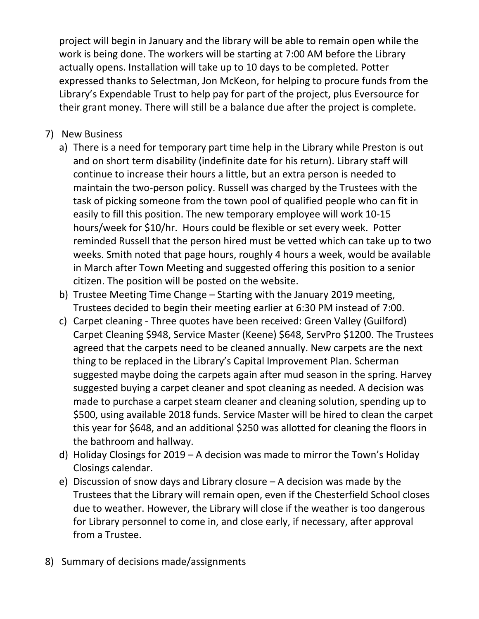project will begin in January and the library will be able to remain open while the work is being done. The workers will be starting at 7:00 AM before the Library actually opens. Installation will take up to 10 days to be completed. Potter expressed thanks to Selectman, Jon McKeon, for helping to procure funds from the Library's Expendable Trust to help pay for part of the project, plus Eversource for their grant money. There will still be a balance due after the project is complete.

- 7) New Business
	- a) There is a need for temporary part time help in the Library while Preston is out and on short term disability (indefinite date for his return). Library staff will continue to increase their hours a little, but an extra person is needed to maintain the two-person policy. Russell was charged by the Trustees with the task of picking someone from the town pool of qualified people who can fit in easily to fill this position. The new temporary employee will work 10-15 hours/week for \$10/hr. Hours could be flexible or set every week. Potter reminded Russell that the person hired must be vetted which can take up to two weeks. Smith noted that page hours, roughly 4 hours a week, would be available in March after Town Meeting and suggested offering this position to a senior citizen. The position will be posted on the website.
	- b) Trustee Meeting Time Change Starting with the January 2019 meeting, Trustees decided to begin their meeting earlier at 6:30 PM instead of 7:00.
	- c) Carpet cleaning Three quotes have been received: Green Valley (Guilford) Carpet Cleaning \$948, Service Master (Keene) \$648, ServPro \$1200. The Trustees agreed that the carpets need to be cleaned annually. New carpets are the next thing to be replaced in the Library's Capital Improvement Plan. Scherman suggested maybe doing the carpets again after mud season in the spring. Harvey suggested buying a carpet cleaner and spot cleaning as needed. A decision was made to purchase a carpet steam cleaner and cleaning solution, spending up to \$500, using available 2018 funds. Service Master will be hired to clean the carpet this year for \$648, and an additional \$250 was allotted for cleaning the floors in the bathroom and hallway.
	- d) Holiday Closings for 2019 A decision was made to mirror the Town's Holiday Closings calendar.
	- e) Discussion of snow days and Library closure A decision was made by the Trustees that the Library will remain open, even if the Chesterfield School closes due to weather. However, the Library will close if the weather is too dangerous for Library personnel to come in, and close early, if necessary, after approval from a Trustee.
- 8) Summary of decisions made/assignments